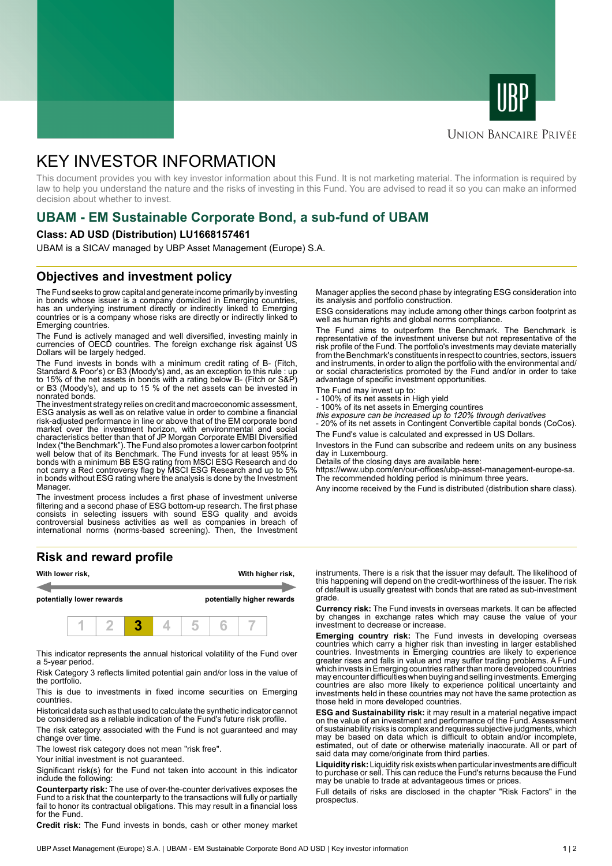



# **UNION BANCAIRE PRIVÉE**

# KEY INVESTOR INFORMATION

This document provides you with key investor information about this Fund. It is not marketing material. The information is required by law to help you understand the nature and the risks of investing in this Fund. You are advised to read it so you can make an informed decision about whether to invest.

# **UBAM - EM Sustainable Corporate Bond, a sub-fund of UBAM**

### **Class: AD USD (Distribution) LU1668157461**

UBAM is a SICAV managed by UBP Asset Management (Europe) S.A.

# **Objectives and investment policy**

The Fund seeks to grow capital and generate income primarily by investing in bonds whose issuer is a company domiciled in Emerging countries, has an underlying instrument directly or indirectly linked to Emerging countries or is a company whose risks are directly or indirectly linked to Emerging countries.

The Fund is actively managed and well diversified, investing mainly in currencies of OECD countries. The foreign exchange risk against US Dollars will be largely hedged.

The Fund invests in bonds with a minimum credit rating of B- (Fitch, Standard & Poor's) or B3 (Moody's) and, as an exception to this rule : up to 15% of the net assets in bonds with a rating below B- (Fitch or S&P) or B3 (Moody's), and up to 15 % of the net assets can be invested in nonrated bonds.

The investment strategy relies on credit and macroeconomic assessment, ESG analysis as well as on relative value in order to combine a financial risk-adjusted performance in line or above that of the EM corporate bond market over the investment horizon, with environmental and social characteristics better than that of JP Morgan Corporate EMBI Diversified Index ("the Benchmark"). The Fund also promotes a lower carbon footprint well below that of its Benchmark. The Fund invests for at least 95% in bonds with a minimum BB ESG rating from MSCI ESG Research and do not carry a Red controversy flag by MSCI ESG Research and up to 5% in bonds without ESG rating where the analysis is done by the Investment Manager.

The investment process includes a first phase of investment universe filtering and a second phase of ESG bottom-up research. The first phase consists in selecting issuers with sound ESG quality and avoids controversial business activities as well as companies in breach of international norms (norms-based screening). Then, the Investment

# **Risk and reward profile**



This indicator represents the annual historical volatility of the Fund over a 5-year period.

Risk Category 3 reflects limited potential gain and/or loss in the value of the portfolio.

This is due to investments in fixed income securities on Emerging countries.

Historical data such as that used to calculate the synthetic indicator cannot be considered as a reliable indication of the Fund's future risk profile.

The risk category associated with the Fund is not guaranteed and may change over time.

The lowest risk category does not mean "risk free".

Your initial investment is not guaranteed.

Significant risk(s) for the Fund not taken into account in this indicator include the following:

**Counterparty risk:** The use of over-the-counter derivatives exposes the Fund to a risk that the counterparty to the transactions will fully or partially fail to honor its contractual obligations. This may result in a financial loss for the Fund.

**Credit risk:** The Fund invests in bonds, cash or other money market

Manager applies the second phase by integrating ESG consideration into its analysis and portfolio construction.

ESG considerations may include among other things carbon footprint as well as human rights and global norms compliance.

The Fund aims to outperform the Benchmark. The Benchmark is representative of the investment universe but not representative of the risk profile of the Fund. The portfolio's investments may deviate materially from the Benchmark's constituents in respect to countries, sectors, issuers and instruments, in order to align the portfolio with the environmental and/ or social characteristics promoted by the Fund and/or in order to take advantage of specific investment opportunities.

- The Fund may invest up to:
- 100% of its net assets in High yield
- 100% of its net assets in Emerging countires this exposure can be increased up to 120% through derivatives

- 20% of its net assets in Contingent Convertible capital bonds (CoCos).

The Fund's value is calculated and expressed in US Dollars.

Investors in the Fund can subscribe and redeem units on any business day in Luxembourg.

Details of the closing days are available here:

https://www.ubp.com/en/our-offices/ubp-asset-management-europe-sa. The recommended holding period is minimum three years.

Any income received by the Fund is distributed (distribution share class).

instruments. There is a risk that the issuer may default. The likelihood of this happening will depend on the credit-worthiness of the issuer. The risk of default is usually greatest with bonds that are rated as sub-investment grade.

**Currency risk:** The Fund invests in overseas markets. It can be affected by changes in exchange rates which may cause the value of your investment to decrease or increase.

**Emerging country risk:** The Fund invests in developing overseas countries which carry a higher risk than investing in larger established countries. Investments in Emerging countries are likely to experience greater rises and falls in value and may suffer trading problems. A Fund which invests in Emerging countries rather than more developed countries may encounter difficulties when buying and selling investments. Emerging countries are also more likely to experience political uncertainty and investments held in these countries may not have the same protection as those held in more developed countries.

**ESG and Sustainability risk:** it may result in a material negative impact on the value of an investment and performance of the Fund. Assessment of sustainability risks is complex and requires subjective judgments, which may be based on data which is difficult to obtain and/or incomplete, estimated, out of date or otherwise materially inaccurate. All or part of said data may come/originate from third parties.

**Liquidity risk:** Liquidity risk exists when particular investments are difficult to purchase or sell. This can reduce the Fund's returns because the Fund may be unable to trade at advantageous times or prices.

Full details of risks are disclosed in the chapter "Risk Factors" in the prospectus.